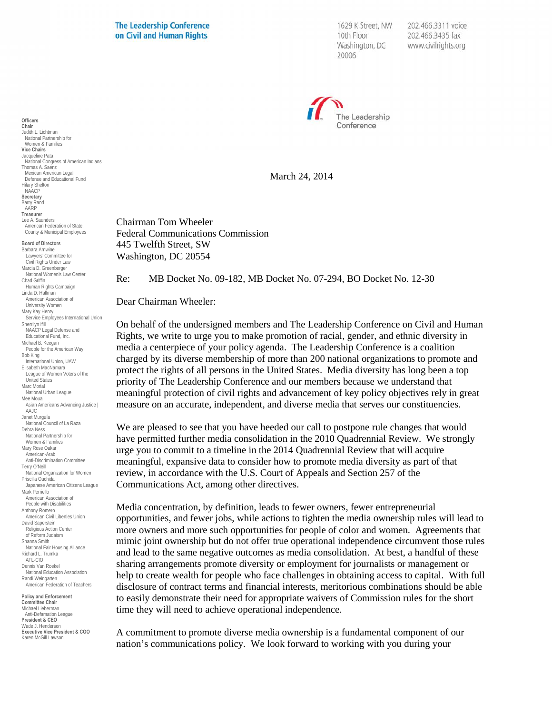**The Leadership Conference** on Civil and Human Rights

1629 K Street, NW 10th Floor Washington, DC 20006

202.466.3311 voice 202.466.3435 fax www.civilrights.org



March 24, 2014

Chairman Tom Wheeler Federal Communications Commission 445 Twelfth Street, SW Washington, DC 20554

Re: MB Docket No. 09-182, MB Docket No. 07-294, BO Docket No. 12-30

Dear Chairman Wheeler:

On behalf of the undersigned members and The Leadership Conference on Civil and Human Rights, we write to urge you to make promotion of racial, gender, and ethnic diversity in media a centerpiece of your policy agenda. The Leadership Conference is a coalition charged by its diverse membership of more than 200 national organizations to promote and protect the rights of all persons in the United States. Media diversity has long been a top priority of The Leadership Conference and our members because we understand that meaningful protection of civil rights and advancement of key policy objectives rely in great measure on an accurate, independent, and diverse media that serves our constituencies.

We are pleased to see that you have heeded our call to postpone rule changes that would have permitted further media consolidation in the 2010 Quadrennial Review. We strongly urge you to commit to a timeline in the 2014 Quadrennial Review that will acquire meaningful, expansive data to consider how to promote media diversity as part of that review, in accordance with the U.S. Court of Appeals and Section 257 of the Communications Act, among other directives.

Media concentration, by definition, leads to fewer owners, fewer entrepreneurial opportunities, and fewer jobs, while actions to tighten the media ownership rules will lead to more owners and more such opportunities for people of color and women. Agreements that mimic joint ownership but do not offer true operational independence circumvent those rules and lead to the same negative outcomes as media consolidation. At best, a handful of these sharing arrangements promote diversity or employment for journalists or management or help to create wealth for people who face challenges in obtaining access to capital. With full disclosure of contract terms and financial interests, meritorious combinations should be able to easily demonstrate their need for appropriate waivers of Commission rules for the short time they will need to achieve operational independence.

A commitment to promote diverse media ownership is a fundamental component of our nation's communications policy. We look forward to working with you during your

**Vice Chairs** Jacqueline Pata National Congress of American Indians Thomas A. Saenz Mexican American Legal Defense and Educational Fund Hilary Shelton **NAACP Secretary** Barry Rand AARP **Treasurer** Lee A. Saunders American Federation of State, County & Municipal Employees **Board of Directors** Barbara Arnwine Lawyers' Committee for Civil Rights Under Law Marcia D. Greenberger National Women's Law Center Chad Griffin Human Rights Campaign Linda D. Hallman American Association of University Women Mary Kay Henry Service Employees International Union Sherrilyn Ifill NAACP Legal Defense and Educational Fund, Inc. Michael B. Keegan People for the American Way Bob King International Union, UAW Elisabeth MacNamara League of Women Voters of the I Inited States Marc Morial National Urban League Mee Moua Asian Americans Advancing Justice | AAJC Janet Murguía National Council of La Raza Debra Ness National Partnership for Women & Families Mary Rose Oakar American-Arab Anti-Discrimination Committee Terry O'Neill National Organization for Women Priscilla Ouchida Japanese American Citizens League Mark Perriello American Association of People with Disabilities Anthony Romero American Civil Liberties Union David Saperstein Religious Action Center of Reform Judaism Shanna Smith National Fair Housing Alliance Richard L. Trumka AFL-CIO Dennis Van Roekel National Education Association Randi Weingarten American Federation of Teachers **Policy and Enforcement Committee Chair** Michael Lieberman<br>Anti-Defamation League **President & CEO**

Wade J. Henderson **Executive Vice President & COO** Karen McGill Lawson

**Officers**

**Chair** Judith L. Lichtman National Partnership for Women & Families